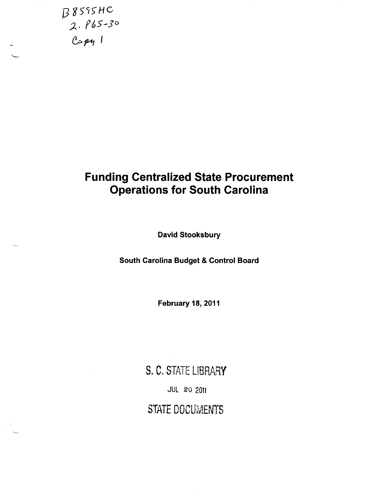

## Funding Centralized State Procurement Operations for South Carolina

David Stooksbury

South Carolina Budget & Control Board

February 18, 2011

S. C. STATE LIBRARY JUL 20 2011 STATE DOCUMENTS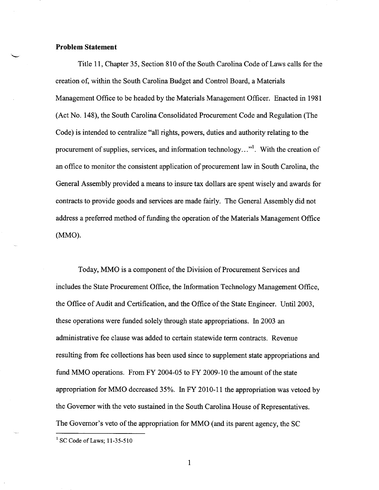## **Problem Statement**

Title 11, Chapter 35, Section 810 of the South Carolina Code of Laws calls for the creation of, within the South Carolina Budget and Control Board, a Materials Management Office to be headed by the Materials Management Officer. Enacted in 1981 (Act No. 148), the South Carolina Consolidated Procurement Code and Regulation (The Code) is intended to centralize "all rights, powers, duties and authority relating to the procurement of supplies, services, and information technology..."<sup>1</sup>. With the creation of an office to monitor the consistent application of procurement law in South Carolina, the General Assembly provided a means to insure tax dollars are spent wisely and awards for contracts to provide goods and services are made fairly. The General Assembly did not address a preferred method of funding the operation of the Materials Management Office (MMO).

Today, MMO is a component of the Division of Procurement Services and includes the State Procurement Office, the Information Technology Management Office, the Office of Audit and Certification, and the Office of the State Engineer. Until 2003, these operations were funded solely through state appropriations. In 2003 an administrative fee clause was added to certain statewide term contracts. Revenue resulting from fee collections has been used since to supplement state appropriations and fund MMO operations. From FY 2004-05 to FY 2009-10 the amount of the state appropriation for MMO decreased 35%. In FY 2010-11 the appropriation was vetoed by the Governor with the veto sustained in the South Carolina House of Representatives. The Governor's veto of the appropriation for MMO (and its parent agency, the SC

 $1$  SC Code of Laws; 11-35-510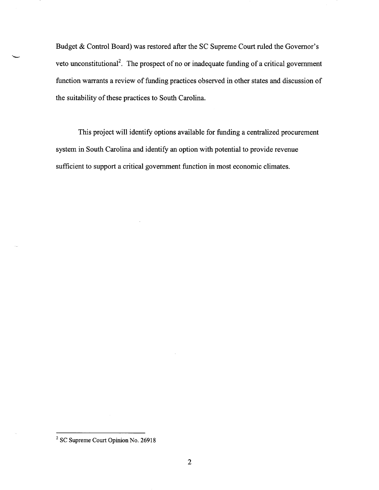Budget & Control Board) was restored after the SC Supreme Court ruled the Governor's veto unconstitutional<sup>2</sup>. The prospect of no or inadequate funding of a critical government function warrants a review of funding practices observed in other states and discussion of the suitability of these practices to South Carolina.

This project will identify options available for funding a centralized procurement system in South Carolina and identify an option with potential to provide revenue sufficient to support a critical government function in most economic climates.

<sup>2</sup> SC Supreme Court Opinion No. 26918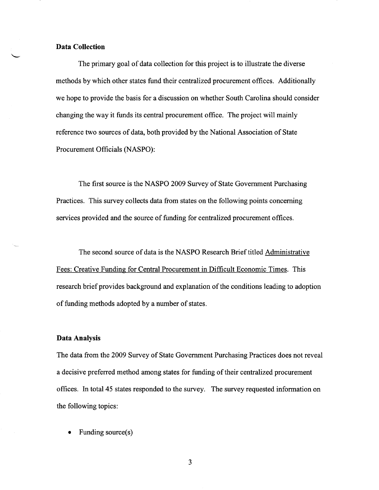### **Data Collection**

The primary goal of data collection for this project is to illustrate the diverse methods by which other states fund their centralized procurement offices. Additionally we hope to provide the basis for a discussion on whether South Carolina should consider changing the way it funds its central procurement office. The project will mainly reference two sources of data, both provided by the National Association of State Procurement Officials (NASPO):

The first source is the NASPO 2009 Survey of State Government Purchasing Practices. This survey collects data from states on the following points concerning services provided and the source of funding for centralized procurement offices.

The second source of data is the NASPO Research Brief titled Administrative Fees: Creative Funding for Central Procurement in Difficult Economic Times. This research brief provides background and explanation of the conditions leading to adoption of funding methods adopted by a number of states.

#### **Data Analysis**

The data from the 2009 Survey of State Government Purchasing Practices does not reveal a decisive preferred method among states for funding of their centralized procurement offices. In total45 states responded to the survey. The survey requested information on the following topics:

Funding source(s)

3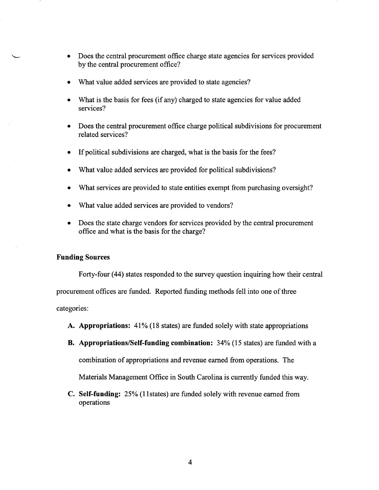- Does the central procurement office charge state agencies for services provided by the central procurement office?
- What value added services are provided to state agencies?
- What is the basis for fees (if any) charged to state agencies for value added services?
- Does the central procurement office charge political subdivisions for procurement related services?
- If political subdivisions are charged, what is the basis for the fees?
- What value added services are provided for political subdivisions?
- What services are provided to state entities exempt from purchasing oversight?
- What value added services are provided to vendors?
- Does the state charge vendors for services provided by the central procurement office and what is the basis for the charge?

## **Funding Sources**

Forty-four (44) states responded to the survey question inquiring how their central

procurement offices are funded. Reported funding methods fell into one of three

categories:

- **A. Appropriations:** 41% (18 states) are funded solely with state appropriations
- **B. Appropriations/Self-funding combination:** 34% (15 states) are funded with a

combination of appropriations and revenue earned from operations. The

Materials Management Office in South Carolina is currently funded this way.

**C. Self-funding:** 25% (11states) are funded solely with revenue earned from operations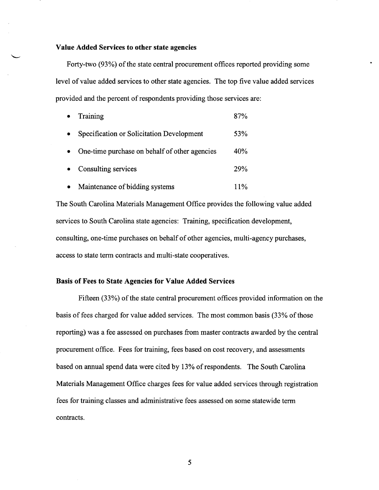#### **Value Added Services to other state agencies**

Forty-two (93%) of the state central procurement offices reported providing some level of value added services to other state agencies. The top five value added services provided and the percent of respondents providing those services are:

| Training                                      | 87% |
|-----------------------------------------------|-----|
| Specification or Solicitation Development     | 53% |
| One-time purchase on behalf of other agencies | 40% |
| Consulting services                           | 29% |
| Maintenance of bidding systems                | 11% |

The South Carolina Materials Management Office provides the following value added services to South Carolina state agencies: Training, specification development, consulting, one-time purchases on behalf of other agencies, multi-agency purchases, access to state term contracts and multi-state cooperatives.

## **Basis of Fees to State Agencies for Value Added Services**

Fifteen (33%) of the state central procurement offices provided information on the basis of fees charged for value added services. The most common basis (33% of those reporting) was a fee assessed on purchases from master contracts awarded by the central procurement office. Fees for training, fees based on cost recovery, and assessments based on annual spend data were cited by 13% of respondents. The South Carolina Materials Management Office charges fees for value added services through registration fees for training classes and administrative fees assessed on some statewide term contracts.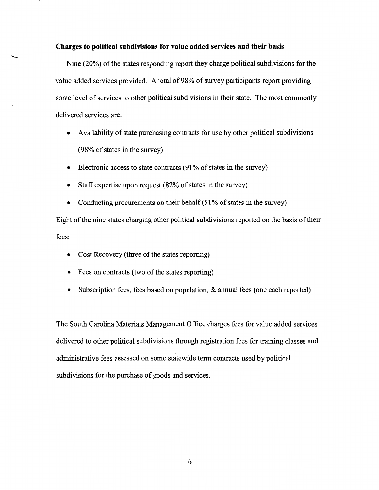#### **Charges to political subdivisions for value added services and their basis**

Nine (20%) of the states responding report they charge political subdivisions for the value added services provided. A total of 98% of survey participants report providing some level of services to other political subdivisions in their state. The most commonly delivered services are:

- Availability of state purchasing contracts for use by other political subdivisions (98% of states in the survey)
- Electronic access to state contracts (91% of states in the survey)
- Staff expertise upon request (82% of states in the survey)
- Conducting procurements on their behalf (51% of states in the survey)

Eight of the nine states charging other political subdivisions reported on the basis of their fees:

- Cost Recovery (three of the states reporting)
- Fees on contracts (two of the states reporting)
- Subscription fees, fees based on population, & annual fees (one each reported)

The South Carolina Materials Management Office charges fees for value added services delivered to other political subdivisions through registration fees for training classes and administrative fees assessed on some statewide term contracts used by political subdivisions for the purchase of goods and services.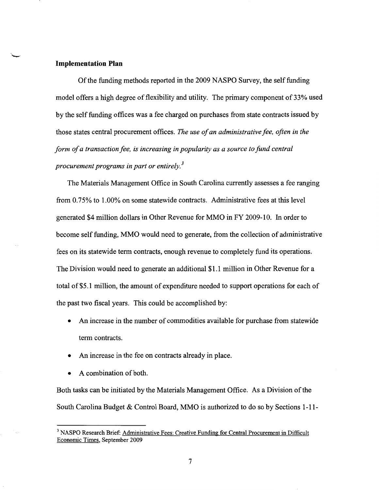#### **Implementation Plan**

Of the funding methods reported in the 2009 NASPO Survey, the self funding model offers a high degree of flexibility and utility. The primary component of 33% used by the self funding offices was a fee charged on purchases from state contracts issued by those states central procurement offices. *The use of an administrative fee, often in the form of a transaction fee, is increasing in popularity as a source to fund central procurement programs in part or entirely. 3* 

The Materials Management Office in South Carolina currently assesses a fee ranging from 0.75% to 1.00% on some statewide contracts. Administrative fees at this level generated \$4 million dollars in Other Revenue for MMO in FY 2009-10. In order to become self funding, MMO would need to generate, from the collection of administrative fees on its statewide term contracts, enough revenue to completely fund its operations. The Division would need to generate an additional \$1.1 million in Other Revenue for a total of \$5.1 million, the amount of expenditure needed to support operations for each of the past two fiscal years. This could be accomplished by:

- An increase in the number of commodities available for purchase from statewide term contracts.
- An increase in the fee on contracts already in place.
- $\bullet$  A combination of both.

Both tasks can be initiated by the Materials Management Office. As a Division of the South Carolina Budget & Control Board, MMO is authorized to do so by Sections 1-11-

<sup>&</sup>lt;sup>3</sup> NASPO Research Brief: Administrative Fees: Creative Funding for Central Procurement in Difficult Economic Times, September 2009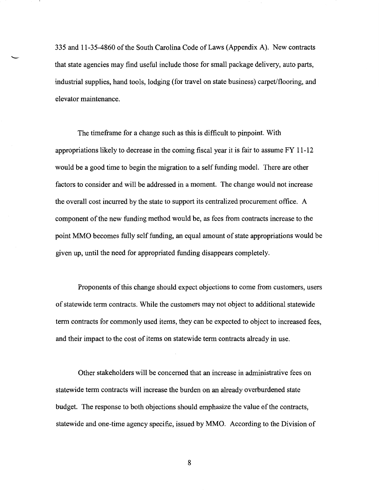335 and 11-35-4860 of the South Carolina Code of Laws (Appendix A). New contracts<br>that state agencies may find useful include those for small package delivery, auto parts, industrial supplies, hand tools, lodging (for travel on state business) carpet/flooring, and elevator maintenance.

> The timeframe for a change such as this is difficult to pinpoint. With appropriations likely to decrease in the coming fiscal year it is fair to assume FY 11-12 would be a good time to begin the migration to a self funding model. There are other factors to consider and will be addressed in a moment. The change would not increase the overall cost incurred by the state to support its centralized procurement office. A component of the new funding method would be, as fees from contracts increase to the point MMO becomes fully self funding, an equal amount of state appropriations would be given up, until the need for appropriated funding disappears completely.

> Proponents of this change should expect objections to come from customers, users of statewide term contracts. While the customers may not object to additional statewide term contracts for commonly used items, they can be expected to object to increased fees, and their impact to the cost of items on statewide term contracts already in use.

Other stakeholders will be concerned that an increase in administrative fees on statewide term contracts will increase the burden on an already overburdened state budget. The response to both objections should emphasize the value of the contracts, statewide and one-time agency specific, issued by MMO. According to the Division of

8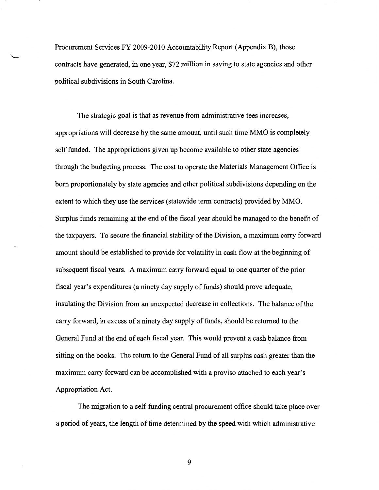Procurement Services FY 2009-2010 Accountability Report (Appendix B), those contracts have generated, in one year, \$72 million in saving to state agencies and other political subdivisions in South Carolina.

The strategic goal is that as revenue from administrative fees increases, appropriations will decrease by the same amount, until such time MMO is completely self funded. The appropriations given up become available to other state agencies through the budgeting process. The cost to operate the Materials Management Office is born proportionately by state agencies and other political subdivisions depending on the extent to which they use the services (statewide term contracts) provided by MMO. Surplus funds remaining at the end of the fiscal year should be managed to the benefit of the taxpayers. To secure the financial stability of the Division, a maximum carry forward amount should be established to provide for volatility in cash flow at the beginning of subsequent fiscal years. A maximum carry forward equal to one quarter of the prior fiscal year's expenditures (a ninety day supply of funds) should prove adequate, insulating the Division from an unexpected decrease in collections. The balance of the carry forward, in excess of a ninety day supply of funds, should be returned to the General Fund at the end of each fiscal year. This would prevent a cash balance from sitting on the books. The return to the General Fund of all surplus cash greater than the maximum carry forward can be accomplished with a proviso attached to each year's Appropriation Act.

The migration to a self-funding central procurement office should take place over a period of years, the length of time determined by the speed with which administrative

9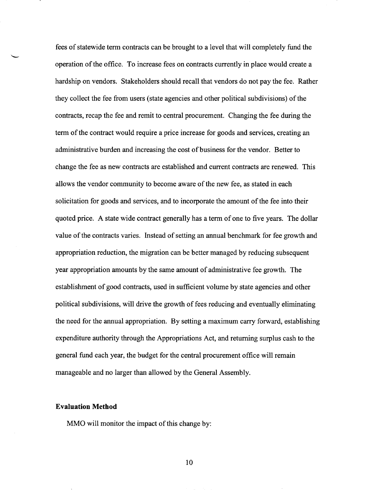fees of statewide term contracts can be brought to a level that will completely fund the operation of the office. To increase fees on contracts currently in place would create a hardship on vendors. Stakeholders should recall that vendors do not pay the fee. Rather they collect the fee from users (state agencies and other political subdivisions) of the contracts, recap the fee and remit to central procurement. Changing the fee during the term of the contract would require a price increase for goods and services, creating an administrative burden and increasing the cost of business for the vendor. Better to change the fee as new contracts are established and current contracts are renewed. This allows the vendor community to become aware of the new fee, as stated in each solicitation for goods and services, and to incorporate the amount of the fee into their quoted price. A state wide contract generally has a term of one to five years. The dollar value of the contracts varies. Instead of setting an annual benchmark for fee growth and appropriation reduction, the migration can be better managed by reducing subsequent year appropriation amounts by the same amount of administrative fee growth. The establishment of good contracts, used in sufficient volume by state agencies and other political subdivisions, will drive the growth of fees reducing and eventually eliminating the need for the annual appropriation. By setting a maximum carry forward, establishing expenditure authority through the Appropriations Act, and returning surplus cash to the general fund each year, the budget for the central procurement office will remain manageable and no larger than allowed by the General Assembly.

#### **Evaluation Method**

MMO will monitor the impact of this change by: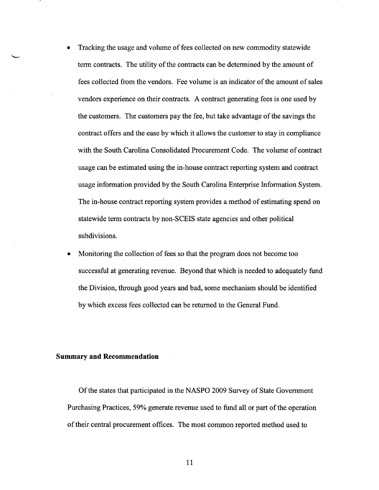- Tracking the usage and volume of fees collected on new commodity statewide term contracts. The utility of the contracts can be determined by the amount of fees collected from the vendors. Fee volume is an indicator of the amount of sales vendors experience on their contracts. A contract generating fees is one used by the customers. The customers pay the fee, but take advantage of the savings the contract offers and the ease by which it allows the customer to stay in compliance with the South Carolina Consolidated Procurement Code. The volume of contract usage can be estimated using the in-house contract reporting system and contract usage information provided by the South Carolina Enterprise Information System. The in-house contract reporting system provides a method of estimating spend on statewide term contracts by non-SCEIS state agencies and other political subdivisions.
- Monitoring the collection of fees so that the program does not become too successful at generating revenue. Beyond that which is needed to adequately fund the Division, through good years and bad, some mechanism should be identified by which excess fees collected can be returned to the General Fund.

## **Summary and Recommendation**

Of the states that participated in the NASPO 2009 Survey of State Government Purchasing Practices, 59% generate revenue used to fund all or part of the operation of their central procurement offices. The most common reported method used to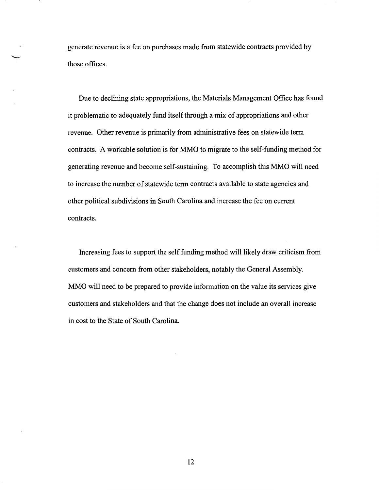generate revenue is a fee on purchases made from statewide contracts provided by those offices.

Due to declining state appropriations, the Materials Management Office has found it problematic to adequately fund itself through a mix of appropriations and other revenue. Other revenue is primarily from administrative fees on statewide term contracts. A workable solution is for MMO to migrate to the self-funding method for generating revenue and become self-sustaining. To accomplish this MMO will need to increase the number of statewide term contracts available to state agencies and other political subdivisions in South Carolina and increase the fee on current contracts.

Increasing fees to support the self funding method will likely draw criticism from customers and concern from other stakeholders, notably the General Assembly. MMO will need to be prepared to provide information on the value its services give customers and stakeholders and that the change does not include an overall increase in cost to the State of South Carolina.

12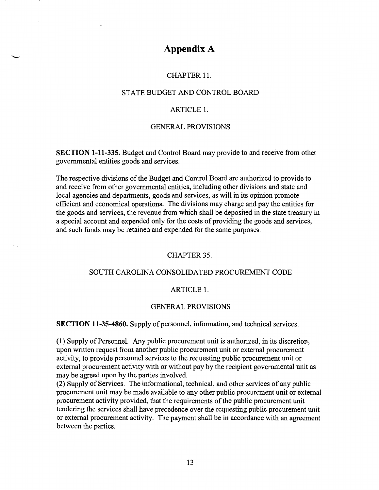## **Appendix A**

## CHAPTER 11.

## STATE BUDGET AND CONTROL BOARD

## ARTICLE 1.

## GENERAL PROVISIONS

**SECTION 1-11-335.** Budget and Control Board may provide to and receive from other governmental entities goods and services.

The respective divisions of the Budget and Control Board are authorized to provide to and receive from other governmental entities, including other divisions and state and local agencies and departments, goods and services, as will in its opinion promote efficient and economical operations. The divisions may charge and pay the entities for the goods and services, the revenue from which shall be deposited in the state treasury in a special account and expended only for the costs of providing the goods and services, and such funds may be retained and expended for the same purposes.

## CHAPTER 35.

## SOUTH CAROLINA CONSOLIDATED PROCUREMENT CODE

## ARTICLE 1.

## GENERAL PROVISIONS

**SECTION 11-35-4860.** Supply of personnel, information, and technical services.

( 1) Supply of Personnel. Any public procurement unit is authorized, in its discretion, upon written request from another public procurement unit or external procurement activity, to provide personnel services to the requesting public procurement unit or external procurement activity with or without pay by the recipient governmental unit as may be agreed upon by the parties involved.

(2) Supply of Services. The informational, technical, and other services of any public procurement unit may be made available to any other public procurement unit or external procurement activity provided, that the requirements of the public procurement unit tendering the services shall have precedence over the requesting public procurement unit or external procurement activity. The payment shall be in accordance with an agreement between the parties.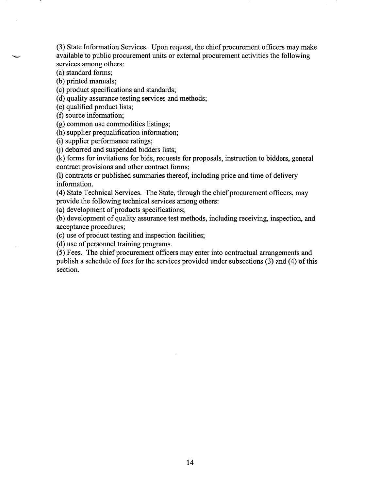(3) State Information Services. Upon request, the chief procurement officers may make available to public procurement units or external procurement activities the following services among others:

(a) standard forms;

(b) printed manuals;

(c) product specifications and standards;

(d) quality assurance testing services and methods;

(e) qualified product lists;

(f) source information;

(g) common use commodities listings;

(h) supplier prequalification information;

(i) supplier performance ratings;

(j) debarred and suspended bidders lists;

(k) forms for invitations for bids, requests for proposals, instruction to bidders, general contract provisions and other contract forms;

(1) contracts or published summaries thereof, including price and time of delivery information.

(4) State Technical Services. The State, through the chief procurement officers, may provide the following technical services among others:

(a) development of products specifications;

(b) development of quality assurance test methods, including receiving, inspection, and acceptance procedures;

(c) use of product testing and inspection facilities;

(d) use of personnel training programs.

(5) Fees. The chief procurement officers may enter into contractual arrangements and publish a schedule of fees for the services provided under subsections (3) and (4) of this section.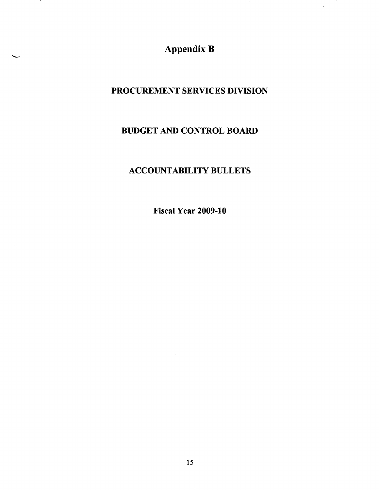Appendix B

 $\hat{\mathcal{A}}$ 

 $\cdot$ 

## PROCUREMENT SERVICES DIVISION

## BUDGET AND CONTROL BOARD

## ACCOUNTABILITY BULLETS

Fiscal Year 2009-10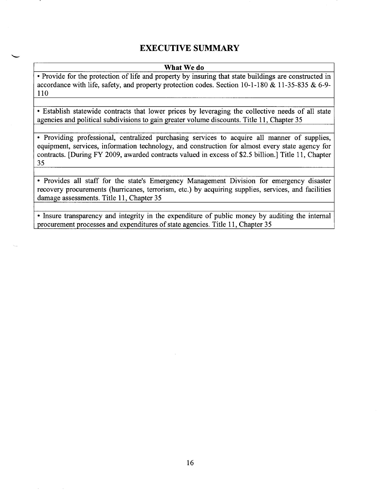## **EXECUTIVE SUMMARY**

### **What We do**

• Provide for the protection of life and property by insuring that state buildings are constructed in accordance with life, safety, and property protection codes. Section 10-1-180 & 11-35-835 & 6-9- 110

• Establish statewide contracts that lower prices by leveraging the collective needs of all state agencies and political subdivisions to gain greater volume discounts. Title 11, Chapter 35

• Providing professional, centralized purchasing services to acquire all manner of supplies, equipment, services, information technology, and construction for almost every state agency for contracts. [During FY 2009, awarded contracts valued in excess of \$2.5 billion.] Title 11, Chapter 35

• Provides all staff for the state's Emergency Management Division for emergency disaster recovery procurements (hurricanes, terrorism, etc.) by acquiring supplies, services, and facilities damage assessments. Title 11, Chapter 35

• Insure transparency and integrity in the expenditure of public money by auditing the internal procurement processes and expenditures of state agencies. Title 11, Chapter 35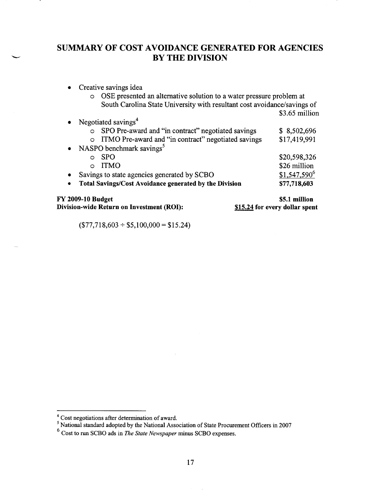## SUMMARY OF COST AVOIDANCE GENERATED FOR AGENCIES BY THE DIVISION

• Creative savings idea

Negotiated savings<sup>4</sup>

o OSE presented an alternative solution to a water pressure problem at South Carolina State University with resultant cost avoidance/savings of

\$3.65 million

|           | <b>FY 2009-10 Budget</b>                                      | \$5.1 million  |
|-----------|---------------------------------------------------------------|----------------|
| $\bullet$ | Total Savings/Cost Avoidance generated by the Division        | \$77,718,603   |
| $\bullet$ | Savings to state agencies generated by SCBO                   | $$1,547,590^6$ |
|           | <b>ITMO</b><br>$\Omega$                                       | \$26 million   |
|           | <b>SPO</b><br>O                                               | \$20,598,326   |
| $\bullet$ | NASPO benchmark savings <sup>5</sup>                          |                |
|           | ITMO Pre-award and "in contract" negotiated savings           | \$17,419,991   |
|           | SPO Pre-award and "in contract" negotiated savings<br>$\circ$ | \$8,502,696    |
|           |                                                               |                |

Division-wide Return on Investment (ROI):

\$15.24 for every dollar spent

 $($77,718,603 \div $5,100,000 = $15.24)$ 

<sup>&</sup>lt;sup>4</sup> Cost negotiations after determination of award.<br><sup>5</sup>National standard adopted by the National Association of State Procurement Officers in 2007

<sup>6</sup> Cost to run SCBO ads in *The State Newspaper* minus SCBO expenses.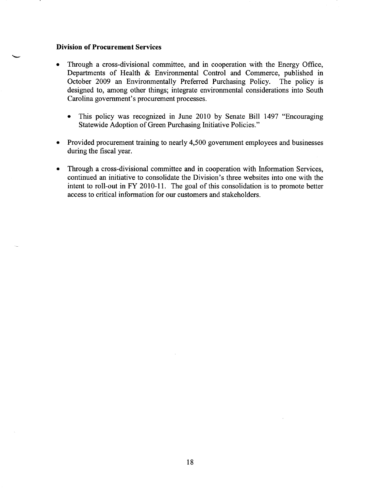## **Division of Procurement Services**<br>• Through a cross-divisional con

- Through a cross-divisional committee, and in cooperation with the Energy Office, Departments of Health & Environmental Control and Commerce, published in October 2009 an Environmentally Preferred Purchasing Policy. The policy is designed to, among other things; integrate environmental considerations into South Carolina government's procurement processes.
	- This policy was recognized in June 2010 by Senate Bill 1497 "Encouraging Statewide Adoption of Green Purchasing Initiative Policies."
- Provided procurement training to nearly 4,500 government employees and businesses during the fiscal year.
- Through a cross-divisional committee and in cooperation with Information Services, continued an initiative to consolidate the Division's three websites into one with the intent to roll-out in FY 2010-11. The goal of this consolidation is to promote better access to critical information for our customers and stakeholders.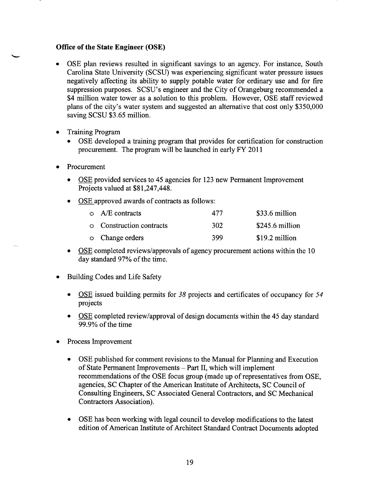## **Office of the State Engineer (OSE)**

- OSE plan reviews resulted in significant savings to an agency. For instance, South Carolina State University (SCSU) was experiencing significant water pressure issues negatively affecting its ability to supply potable water for ordinary use and for fire suppression purposes. SCSU's engineer and the City of Orangeburg recommended a \$4 million water tower as a solution to this problem. However, OSE staff reviewed plans of the city's water system and suggested an alternative that cost only \$350,000 saving SCSU \$3.65 million.
- Training Program
	- OSE developed a training program that provides for certification for construction procurement. The program will be launched in early FY 2011
- Procurement
	- OSE provided services to 45 agencies for 123 new Permanent Improvement Projects valued at \$81,247,448.
	- OSE approved awards of contracts as follows:

| $\circ$ A/E contracts           | 477 | \$33.6 million   |
|---------------------------------|-----|------------------|
| <b>O</b> Construction contracts | 302 | $$245.6$ million |
| o Change orders                 | 399 | \$19.2 million   |

- OSE completed reviews/approvals of agency procurement actions within the 10 day standard 97% of the time.
- Building Codes and Life Safety
	- OSE issued building permits for 38 projects and certificates of occupancy for 54 projects
	- OSE completed review/approval of design documents within the 45 day standard  $99.9\%$  of the time
- Process Improvement
	- OSE published for comment revisions to the Manual for Planning and Execution of State Permanent Improvements - Part II, which will implement recommendations of the OSE focus group (made up of representatives from OSE, agencies, SC Chapter of the American Institute of Architects, SC Council of Consulting Engineers, SC Associated General Contractors, and SC Mechanical Contractors Association).
	- OSE has been working with legal council to develop modifications to the latest edition of American Institute of Architect Standard Contract Documents adopted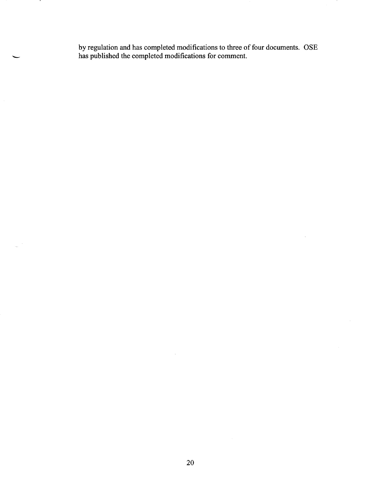by regulation and has completed modifications to three of four documents. OSE has published the completed modifications for comment. has published the completed modifications for comment.

 $\bar{\lambda}$ 

 $\cdot$ 

 $\bar{\beta}$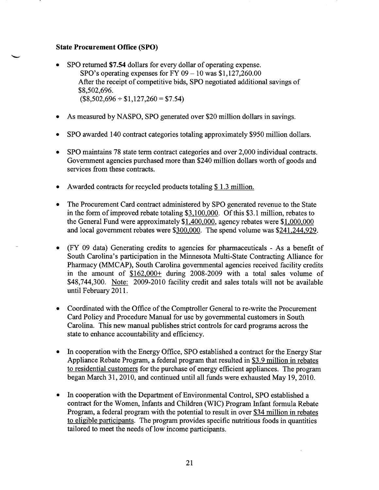## **State Procurement Office (SPO)**

- SPO returned **\$7.54** dollars for every dollar of operating expense. SPO's operating expenses for FY  $09 - 10$  was \$1,127,260.00 After the receipt of competitive bids, SPO negotiated additional savings of \$8,502,696.  $($8,502,696 \div $1,127,260 = $7.54)$
- As measured by NASPO, SPO generated over \$20 million dollars in savings.
- SPO awarded 140 contract categories totaling approximately \$950 million dollars.
- SPO maintains 78 state term contract categories and over 2,000 individual contracts. Government agencies purchased more than \$240 million dollars worth of goods and services from these contracts.
- Awarded contracts for recycled products totaling \$1.3 million.
- The Procurement Card contract administered by SPO generated revenue to the State in the form of improved rebate totaling \$3,100,000. Of this \$3.1 million, rebates to the General Fund were approximately \$1,400,000, agency rebates were \$1,000,000 and local government rebates were \$300,000. The spend volume was \$241.244,929.
- (FY 09 data) Generating credits to agencies for pharmaceuticals As a benefit of South Carolina's participation in the Minnesota Multi-State Contracting Alliance for Pharmacy (MMCAP), South Carolina governmental agencies received facility credits in the amount of \$162,000+ during 2008-2009 with a total sales volume of \$48,744,300. Note: 2009-2010 facility credit and sales totals will not be available until February 2011.
- Coordinated with the Office of the Comptroller General to re-write the Procurement Card Policy and Procedure Manual for use by governmental customers in South Carolina. This new manual publishes strict controls for card programs across the state to enhance accountability and efficiency.
- In cooperation with the Energy Office, SPO established a contract for the Energy Star Appliance Rebate Program, a federal program that resulted in \$3.9 million in rebates to residential customers for the purchase of energy efficient appliances. The program began March 31,2010, and continued until all funds were exhausted May 19,2010.
- In cooperation with the Department of Environmental Control, SPO established a contract for the Women, Infants and Children (WIC) Program Infant formula Rebate Program, a federal program with the potential to result in over \$34 million in rebates to eligible participants. The program provides specific nutritious foods in quantities tailored to meet the needs of low income participants.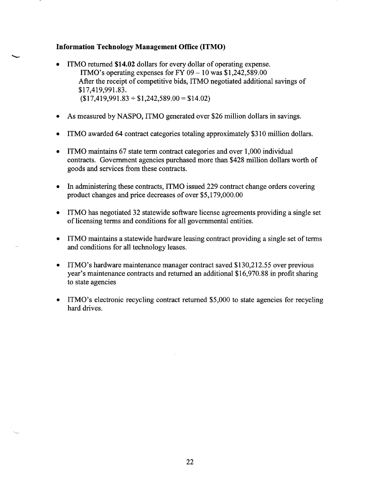## **Information Technology Management Office (ITMO)**

- ITMO returned **\$14.02** dollars for every dollar of operating expense. ITMO's operating expenses for FY  $09-10$  was \$1,242,589.00 After the receipt of competitive bids, ITMO negotiated additional savings of \$17,419,991.83.  $$17,419,991.83 \div $1,242,589.00 = $14.02$
- As measured by NASPO, ITMO generated over \$26 million dollars in savings.
- ITMO awarded 64 contract categories totaling approximately \$310 million dollars.
- ITMO maintains 67 state term contract categories and over 1,000 individual contracts. Government agencies purchased more than \$428 million dollars worth of goods and services from these contracts.
- In administering these contracts, ITMO issued 229 contract change orders covering product changes and price decreases of over \$5,179,000.00
- ITMO has negotiated 32 statewide software license agreements providing a single set of licensing terms and conditions for all governmental entities.
- ITMO maintains a statewide hardware leasing contract providing a single set of terms and conditions for all technology leases.
- ITMO's hardware maintenance manager contract saved \$130,212.55 over previous year's maintenance contracts and returned an additional \$16,970.88 in profit sharing to state agencies
- ITMO's electronic recycling contract returned \$5,000 to state agencies for recycling hard drives.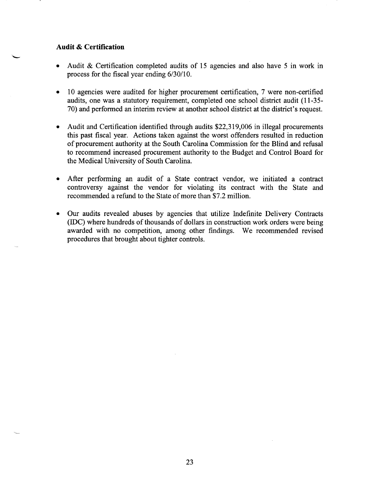# **Audit & Certification**<br>• Audit & Certification

- Audit & Certification completed audits of 15 agencies and also have 5 in work in process for the fiscal year ending 6/30/10.
- 10 agencies were audited for higher procurement certification, 7 were non-certified audits, one was a statutory requirement, completed one school district audit (11-35- 70) and performed an interim review at another school district at the district's request.
- Audit and Certification identified through audits \$22,319,006 in illegal procurements this past fiscal year. Actions taken against the worst offenders resulted in reduction of procurement authority at the South Carolina Commission for the Blind and refusal to recommend increased procurement authority to the Budget and Control Board for the Medical University of South Carolina.
- After performing an audit of a State contract vendor, we initiated a contract controversy against the vendor for violating its contract with the State and recommended a refund to the State of more than \$7.2 million.
- Our audits revealed abuses by agencies that utilize Indefinite Delivery Contracts (IDC) where hundreds of thousands of dollars in construction work orders were being awarded with no competition, among other findings. We recommended revised procedures that brought about tighter controls.